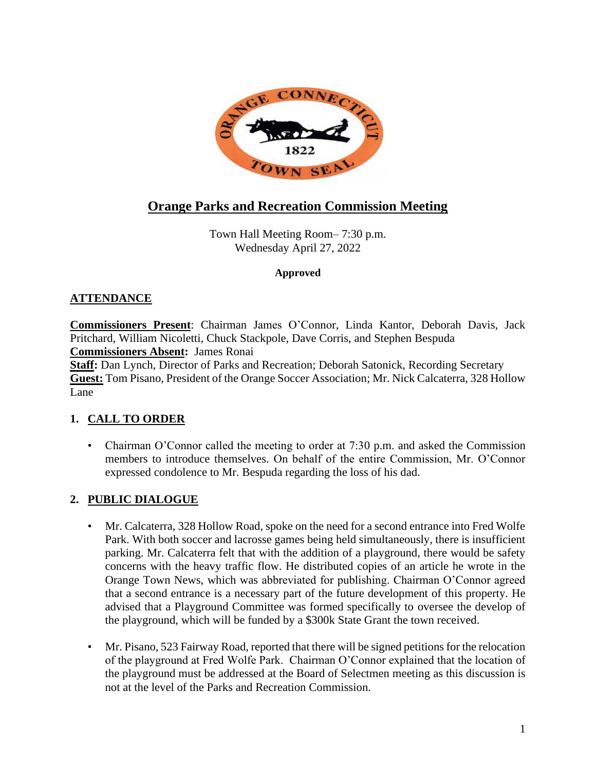

# **Orange Parks and Recreation Commission Meeting**

Town Hall Meeting Room– 7:30 p.m. Wednesday April 27, 2022

#### **Approved**

## **ATTENDANCE**

**Commissioners Present**: Chairman James O'Connor, Linda Kantor, Deborah Davis, Jack Pritchard, William Nicoletti, Chuck Stackpole, Dave Corris, and Stephen Bespuda **Commissioners Absent:** James Ronai **Staff:** Dan Lynch, Director of Parks and Recreation; Deborah Satonick, Recording Secretary

**Guest:** Tom Pisano, President of the Orange Soccer Association; Mr. Nick Calcaterra, 328 Hollow Lane

# **1. CALL TO ORDER**

• Chairman O'Connor called the meeting to order at 7:30 p.m. and asked the Commission members to introduce themselves. On behalf of the entire Commission, Mr. O'Connor expressed condolence to Mr. Bespuda regarding the loss of his dad.

#### **2. PUBLIC DIALOGUE**

- Mr. Calcaterra, 328 Hollow Road, spoke on the need for a second entrance into Fred Wolfe Park. With both soccer and lacrosse games being held simultaneously, there is insufficient parking. Mr. Calcaterra felt that with the addition of a playground, there would be safety concerns with the heavy traffic flow. He distributed copies of an article he wrote in the Orange Town News, which was abbreviated for publishing. Chairman O'Connor agreed that a second entrance is a necessary part of the future development of this property. He advised that a Playground Committee was formed specifically to oversee the develop of the playground, which will be funded by a \$300k State Grant the town received.
- Mr. Pisano, 523 Fairway Road, reported that there will be signed petitions for the relocation of the playground at Fred Wolfe Park. Chairman O'Connor explained that the location of the playground must be addressed at the Board of Selectmen meeting as this discussion is not at the level of the Parks and Recreation Commission.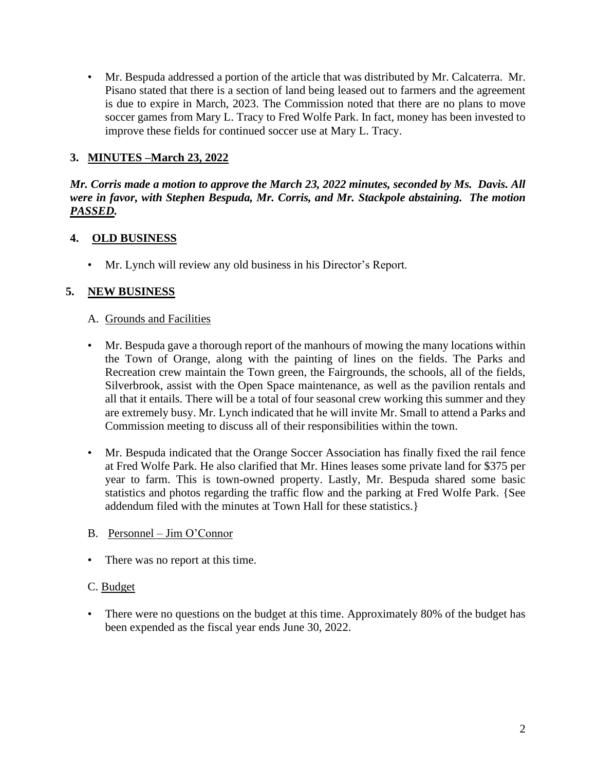• Mr. Bespuda addressed a portion of the article that was distributed by Mr. Calcaterra. Mr. Pisano stated that there is a section of land being leased out to farmers and the agreement is due to expire in March, 2023. The Commission noted that there are no plans to move soccer games from Mary L. Tracy to Fred Wolfe Park. In fact, money has been invested to improve these fields for continued soccer use at Mary L. Tracy.

## **3. MINUTES –March 23, 2022**

*Mr. Corris made a motion to approve the March 23, 2022 minutes, seconded by Ms. Davis. All were in favor, with Stephen Bespuda, Mr. Corris, and Mr. Stackpole abstaining. The motion PASSED.*

#### **4. OLD BUSINESS**

• Mr. Lynch will review any old business in his Director's Report.

#### **5. NEW BUSINESS**

#### A. Grounds and Facilities

- Mr. Bespuda gave a thorough report of the manhours of mowing the many locations within the Town of Orange, along with the painting of lines on the fields. The Parks and Recreation crew maintain the Town green, the Fairgrounds, the schools, all of the fields, Silverbrook, assist with the Open Space maintenance, as well as the pavilion rentals and all that it entails. There will be a total of four seasonal crew working this summer and they are extremely busy. Mr. Lynch indicated that he will invite Mr. Small to attend a Parks and Commission meeting to discuss all of their responsibilities within the town.
- Mr. Bespuda indicated that the Orange Soccer Association has finally fixed the rail fence at Fred Wolfe Park. He also clarified that Mr. Hines leases some private land for \$375 per year to farm. This is town-owned property. Lastly, Mr. Bespuda shared some basic statistics and photos regarding the traffic flow and the parking at Fred Wolfe Park. {See addendum filed with the minutes at Town Hall for these statistics.}

#### B. Personnel – Jim O'Connor

• There was no report at this time.

#### C. Budget

• There were no questions on the budget at this time. Approximately 80% of the budget has been expended as the fiscal year ends June 30, 2022.